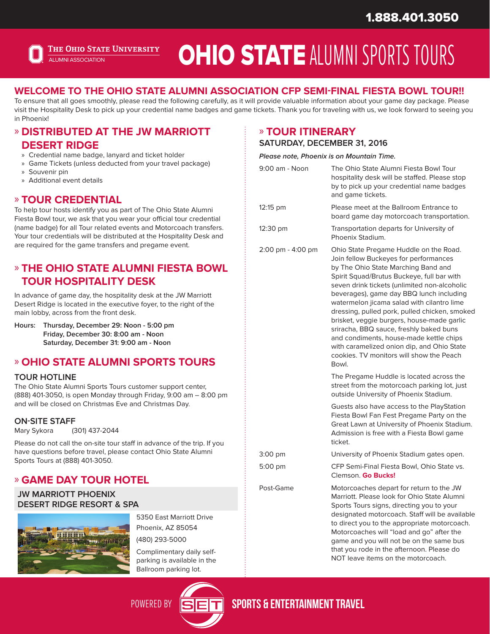

# OHIO STATE ALUMNI SPORTS TOURS

### **WELCOME TO THE OHIO STATE ALUMNI ASSOCIATION CFP SEMI-FINAL FIESTA BOWL TOUR!!**

To ensure that all goes smoothly, please read the following carefully, as it will provide valuable information about your game day package. Please visit the Hospitality Desk to pick up your credential name badges and game tickets. Thank you for traveling with us, we look forward to seeing you in Phoenix!

#### » **DISTRIBUTED AT THE JW MARRIOTT DESERT RIDGE**

- » Credential name badge, lanyard and ticket holder
- » Game Tickets (unless deducted from your travel package)
- » Souvenir pin
- » Additional event details

#### » **TOUR CREDENTIAL**

To help tour hosts identify you as part of The Ohio State Alumni Fiesta Bowl tour, we ask that you wear your official tour credential (name badge) for all Tour related events and Motorcoach transfers. Your tour credentials will be distributed at the Hospitality Desk and are required for the game transfers and pregame event.

### » **THE OHIO STATE ALUMNI FIESTA BOWL TOUR HOSPITALITY DESK**

In advance of game day, the hospitality desk at the JW Marriott Desert Ridge is located in the executive foyer, to the right of the main lobby, across from the front desk.

**Hours: Thursday, December 29: Noon - 5:00 pm Friday, December 30: 8:00 am - Noon Saturday, December 31: 9:00 am - Noon**

### » **OHIO STATE ALUMNI SPORTS TOURS**

#### **TOUR HOTLINE**

The Ohio State Alumni Sports Tours customer support center, (888) 401-3050, is open Monday through Friday, 9:00 am – 8:00 pm and will be closed on Christmas Eve and Christmas Day.

#### **ON-SITE STAFF**

Mary Sykora (301) 437-2044

Please do not call the on-site tour staff in advance of the trip. If you have questions before travel, please contact Ohio State Alumni Sports Tours at (888) 401-3050.

# » **GAME DAY TOUR HOTEL**

**JW MARRIOTT PHOENIX DESERT RIDGE RESORT & SPA**



5350 East Marriott Drive Phoenix, AZ 85054

(480) 293-5000

Complimentary daily selfparking is available in the Ballroom parking lot.



### » **TOUR ITINERARY**

**SATURDAY, DECEMBER 31, 2016**

**Please note, Phoenix is on Mountain Time.**

| 9:00 am - Noon    | The Ohio State Alumni Fiesta Bowl Tour<br>hospitality desk will be staffed. Please stop<br>by to pick up your credential name badges<br>and game tickets.                                                                                                                                                                                                                                                                                                                                                                                                                                              |
|-------------------|--------------------------------------------------------------------------------------------------------------------------------------------------------------------------------------------------------------------------------------------------------------------------------------------------------------------------------------------------------------------------------------------------------------------------------------------------------------------------------------------------------------------------------------------------------------------------------------------------------|
| 12:15 pm          | Please meet at the Ballroom Entrance to<br>board game day motorcoach transportation.                                                                                                                                                                                                                                                                                                                                                                                                                                                                                                                   |
| 12:30 pm          | Transportation departs for University of<br>Phoenix Stadium.                                                                                                                                                                                                                                                                                                                                                                                                                                                                                                                                           |
| 2:00 pm - 4:00 pm | Ohio State Pregame Huddle on the Road.<br>Join fellow Buckeyes for performances<br>by The Ohio State Marching Band and<br>Spirit Squad/Brutus Buckeye, full bar with<br>seven drink tickets (unlimited non-alcoholic<br>beverages), game day BBQ lunch including<br>watermelon jicama salad with cilantro lime<br>dressing, pulled pork, pulled chicken, smoked<br>brisket, veggie burgers, house-made garlic<br>sriracha, BBQ sauce, freshly baked buns<br>and condiments, house-made kettle chips<br>with caramelized onion dip, and Ohio State<br>cookies. TV monitors will show the Peach<br>Bowl. |
|                   | The Pregame Huddle is located across the<br>street from the motorcoach parking lot, just<br>outside University of Phoenix Stadium.                                                                                                                                                                                                                                                                                                                                                                                                                                                                     |
|                   | Guests also have access to the PlayStation<br>Fiesta Bowl Fan Fest Pregame Party on the<br>Great Lawn at University of Phoenix Stadium.<br>Admission is free with a Fiesta Bowl game<br>ticket.                                                                                                                                                                                                                                                                                                                                                                                                        |
| 3:00 pm           | University of Phoenix Stadium gates open.                                                                                                                                                                                                                                                                                                                                                                                                                                                                                                                                                              |
| 5:00 pm           | CFP Semi-Final Fiesta Bowl, Ohio State vs.<br>Clemson. Go Bucks!                                                                                                                                                                                                                                                                                                                                                                                                                                                                                                                                       |
| Post-Game         | Motorcoaches depart for return to the JW<br>Marriott. Please look for Ohio State Alumni<br>Sports Tours signs, directing you to your<br>designated motorcoach. Staff will be available<br>to direct you to the appropriate motorcoach.<br>Motorcoaches will "load and go" after the<br>game and you will not be on the same bus<br>that you rode in the afternoon. Please do<br>NOT leave items on the motorcoach.                                                                                                                                                                                     |

POWERED BY **STELLET SPORTS & ENTERTAINMENT TRAVEL**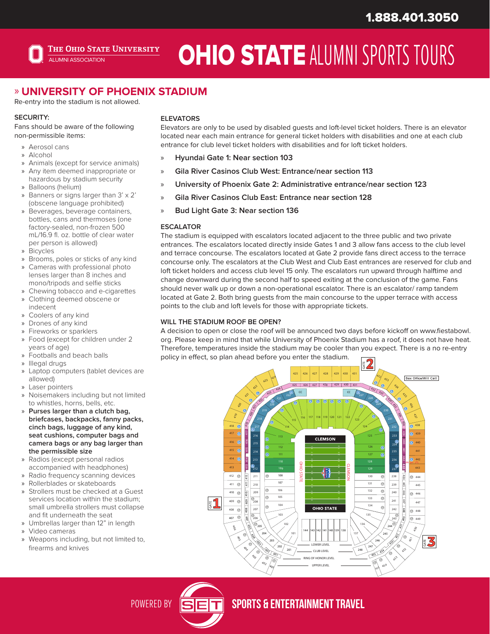

# **OHIO STATE ALUMNI SPORTS TOURS**

## » **UNIVERSITY OF PHOENIX STADIUM**

Re-entry into the stadium is not allowed.

Fans should be aware of the following non-permissible items:

- » Aerosol cans
- » Alcohol
- » Animals (except for service animals)
- » Any item deemed inappropriate or hazardous by stadium security
- » Balloons (helium)
- » Banners or signs larger than 3' x 2' (obscene language prohibited)
- » Beverages, beverage containers, bottles, cans and thermoses (one factory-sealed, non-frozen 500 mL/16.9 fl. oz. bottle of clear water per person is allowed)
- » Bicycles
- » Brooms, poles or sticks of any kind
- » Cameras with professional photo lenses larger than 8 inches and mono/tripods and selfie sticks
- Chewing tobacco and e-cigarettes » Clothing deemed obscene or
- indecent » Coolers of any kind
- » Drones of any kind
- » Fireworks or sparklers
- » Food (except for children under 2 years of age)
- » Footballs and beach balls
- » Illegal drugs
- » Laptop computers (tablet devices are allowed)
- » Laser pointers
- » Noisemakers including but not limited to whistles, horns, bells, etc.
- » **Purses larger than a clutch bag, briefcases, backpacks, fanny packs, cinch bags, luggage of any kind, seat cushions, computer bags and camera bags or any bag larger than the permissible size**
- » Radios (except personal radios accompanied with headphones)
- » Radio frequency scanning devices
- » Rollerblades or skateboards
- » Strollers must be checked at a Guest services location within the stadium; small umbrella strollers must collapse and fit underneath the seat
- » Umbrellas larger than 12" in length
- » Video cameras
- » Weapons including, but not limited to,

#### **SECURITY: ELEVATORS**

Elevators are only to be used by disabled guests and loft-level ticket holders. There is an elevator located near each main entrance for general ticket holders with disabilities and one at each club entrance for club level ticket holders with disabilities and for loft ticket holders.

- » **Hyundai Gate 1: Near section 103**
- » **Gila River Casinos Club West: Entrance/near section 113**
- » **University of Phoenix Gate 2: Administrative entrance/near section 123**
- » **Gila River Casinos Club East: Entrance near section 128**
- » **Bud Light Gate 3: Near section 136**

#### **ESCALATOR**

The stadium is equipped with escalators located adjacent to the three public and two private entrances. The escalators located directly inside Gates 1 and 3 allow fans access to the club level and terrace concourse. The escalators located at Gate 2 provide fans direct access to the terrace concourse only. The escalators at the Club West and Club East entrances are reserved for club and loft ticket holders and access club level 15 only. The escalators run upward through halftime and change downward during the second half to speed exiting at the conclusion of the game. Fans should never walk up or down a non-operational escalator. There is an escalator/ ramp tandem located at Gate 2. Both bring guests from the main concourse to the upper terrace with access points to the club and loft levels for those with appropriate tickets.

#### **WILL THE STADIUM ROOF BE OPEN?**

A decision to open or close the roof will be announced two days before kickoff on www.fiestabowl. org. Please keep in mind that while University of Phoenix Stadium has a roof, it does not have heat. Therefore, temperatures inside the stadium may be cooler than you expect. There is a no re-entry policy in effect, so plan ahead before you enter the stadium.



POWERED BY STEET SPORTS & ENTERTAINMENT TRAVEL